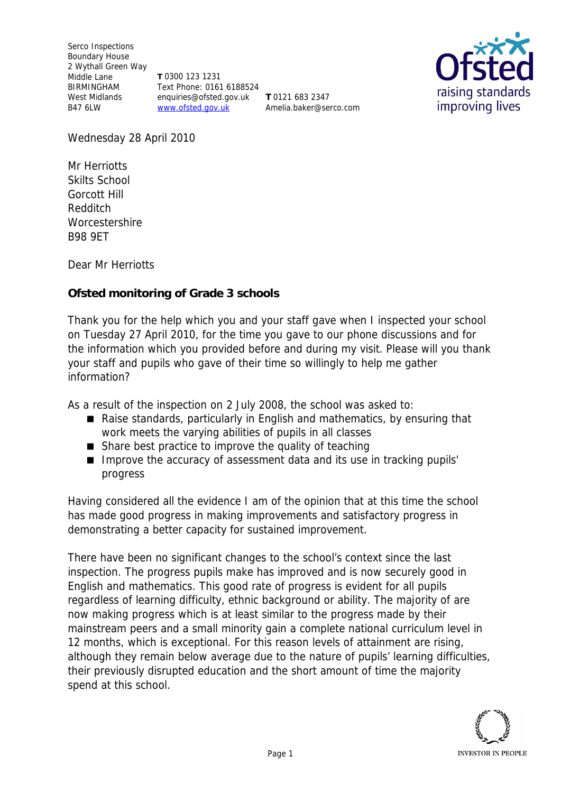Serco Inspections Boundary House 2 Wythall Green Way Middle Lane BIRMINGHAM West Midlands B47 6LW

**T** 0300 123 1231 Text Phone: 0161 6188524 enquiries@ofsted.gov.uk **T** 0121 683 2347 www.ofsted.gov.uk

Amelia.baker@serco.com



Wednesday 28 April 2010

Mr Herriotts Skilts School Gorcott Hill Redditch **Worcestershire** B98 9ET

Dear Mr Herriotts

**Ofsted monitoring of Grade 3 schools**

Thank you for the help which you and your staff gave when I inspected your school on Tuesday 27 April 2010*,* for the time you gave to our phone discussions and for the information which you provided before and during my visit*.* Please will you thank your staff and pupils who gave of their time so willingly to help me gather information?

As a result of the inspection on 2 July 2008, the school was asked to:

- Raise standards, particularly in English and mathematics, by ensuring that work meets the varying abilities of pupils in all classes
- Share best practice to improve the quality of teaching
- Improve the accuracy of assessment data and its use in tracking pupils' progress

Having considered all the evidence I am of the opinion that at this time the school has made good progress in making improvements and satisfactory progress in demonstrating a better capacity for sustained improvement.

There have been no significant changes to the school's context since the last inspection. The progress pupils make has improved and is now securely good in English and mathematics. This good rate of progress is evident for all pupils regardless of learning difficulty, ethnic background or ability. The majority of are now making progress which is at least similar to the progress made by their mainstream peers and a small minority gain a complete national curriculum level in 12 months, which is exceptional. For this reason levels of attainment are rising, although they remain below average due to the nature of pupils' learning difficulties, their previously disrupted education and the short amount of time the majority spend at this school.